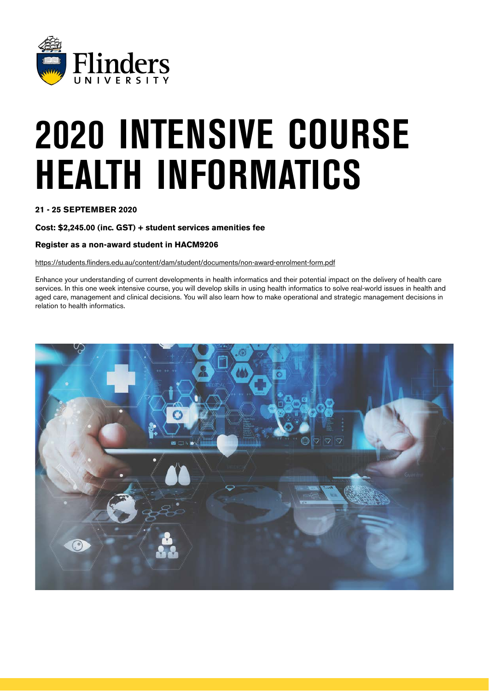

# 2020 INTENSIVE COURSE HEALTH INFORMATICS

**21 - 25 SEPTEMBER 2020**

**Cost: \$2,245.00 (inc. GST) + student services amenities fee**

### **Register as a non-award student in HACM9206**

<https://students.flinders.edu.au/content/dam/student/documents/non-award-enrolment-form.pdf>

Enhance your understanding of current developments in health informatics and their potential impact on the delivery of health care services. In this one week intensive course, you will develop skills in using health informatics to solve real-world issues in health and aged care, management and clinical decisions. You will also learn how to make operational and strategic management decisions in relation to health informatics.